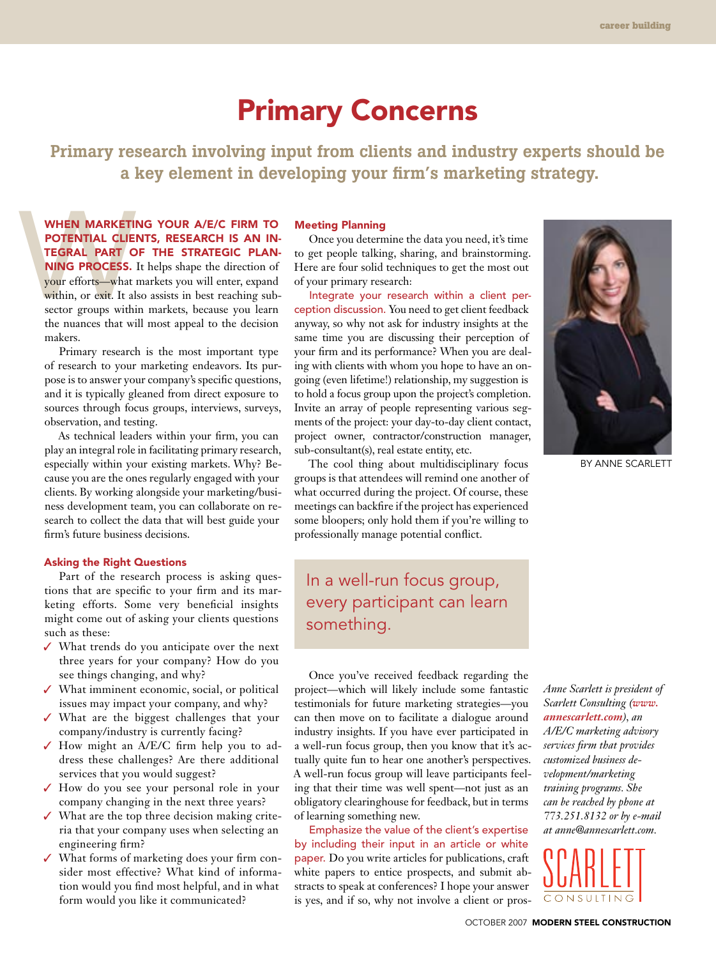## Primary Concerns

Primary research involving input from clients and industry experts should be a key element in developing your firm's marketing strategy.

WHEN MARKETI<br>
POTENTIAL CLIE<br>
TEGRAL PART C<br>
NING PROCESS.<br>
your efforts—what<br>
within, or exit. It al<br>
sector groups within When marketing your A/E/C firm to potential clients, research is an integral part of the strategic plan-NING PROCESS. It helps shape the direction of your efforts—what markets you will enter, expand within, or exit. It also assists in best reaching subsector groups within markets, because you learn the nuances that will most appeal to the decision makers.

Primary research is the most important type of research to your marketing endeavors. Its purpose is to answer your company's specific questions, and it is typically gleaned from direct exposure to sources through focus groups, interviews, surveys, observation, and testing.

As technical leaders within your firm, you can play an integral role in facilitating primary research, especially within your existing markets. Why? Because you are the ones regularly engaged with your clients. By working alongside your marketing/business development team, you can collaborate on research to collect the data that will best guide your firm's future business decisions.

## Asking the Right Questions

Part of the research process is asking questions that are specific to your firm and its marketing efforts. Some very beneficial insights might come out of asking your clients questions such as these:

- ✓ What trends do you anticipate over the next three years for your company? How do you see things changing, and why?
- ✓ What imminent economic, social, or political issues may impact your company, and why?
- ✓ What are the biggest challenges that your company/industry is currently facing?
- ✓ How might an A/E/C firm help you to address these challenges? Are there additional services that you would suggest?
- ✓ How do you see your personal role in your company changing in the next three years?
- ✓ What are the top three decision making criteria that your company uses when selecting an engineering firm?
- ✓ What forms of marketing does your firm consider most effective? What kind of information would you find most helpful, and in what form would you like it communicated?

## Meeting Planning

Once you determine the data you need, it's time to get people talking, sharing, and brainstorming. Here are four solid techniques to get the most out of your primary research:

Integrate your research within a client perception discussion. You need to get client feedback anyway, so why not ask for industry insights at the same time you are discussing their perception of your firm and its performance? When you are dealing with clients with whom you hope to have an ongoing (even lifetime!) relationship, my suggestion is to hold a focus group upon the project's completion. Invite an array of people representing various segments of the project: your day-to-day client contact, project owner, contractor/construction manager, sub-consultant(s), real estate entity, etc.

The cool thing about multidisciplinary focus groups is that attendees will remind one another of what occurred during the project. Of course, these meetings can backfire if the project has experienced some bloopers; only hold them if you're willing to professionally manage potential conflict.

In a well-run focus group, every participant can learn something.

By Anne Scarlett

Once you've received feedback regarding the project—which will likely include some fantastic testimonials for future marketing strategies—you can then move on to facilitate a dialogue around industry insights. If you have ever participated in a well-run focus group, then you know that it's actually quite fun to hear one another's perspectives. A well-run focus group will leave participants feeling that their time was well spent—not just as an obligatory clearinghouse for feedback, but in terms of learning something new.

Emphasize the value of the client's expertise by including their input in an article or white paper. Do you write articles for publications, craft white papers to entice prospects, and submit abstracts to speak at conferences? I hope your answer is yes, and if so, why not involve a client or pros*Anne Scarlett is president of Scarlett Consulting (www. annescarlett.com), an A/E/C marketing advisory services firm that provides customized business development/marketing training programs. She can be reached by phone at 773.251.8132 or by e-mail at anne@annescarlett.com.*